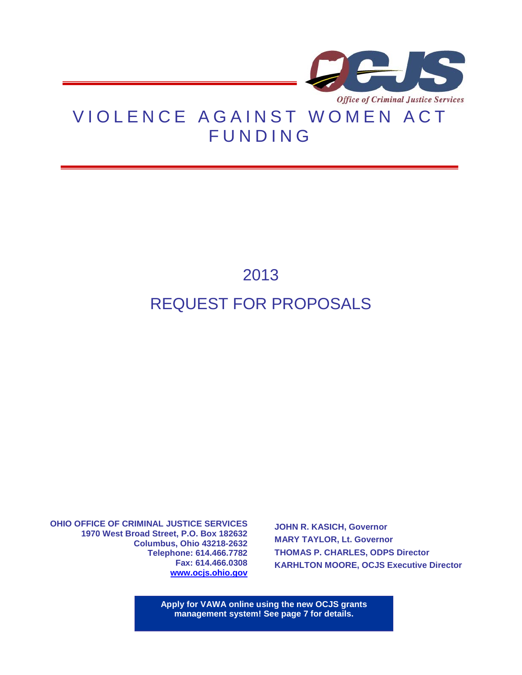

# VIOLENCE AGAINST WOMEN ACT FUNDING

# 2013 REQUEST FOR PROPOSALS

**OHIO OFFICE OF CRIMINAL JUSTICE SERVICES 1970 West Broad Street, P.O. Box 182632 Columbus, Ohio 43218-2632 Telephone: 614.466.7782 Fax: 614.466.0308 [www.ocjs.ohio.gov](http://www.publicsafety.ohio.gov/odps_ocjs)**

**JOHN R. KASICH, Governor MARY TAYLOR, Lt. Governor THOMAS P. CHARLES, ODPS Director KARHLTON MOORE, OCJS Executive Director**

**Apply for VAWA online using the new OCJS grants management system! See page 7 for details.**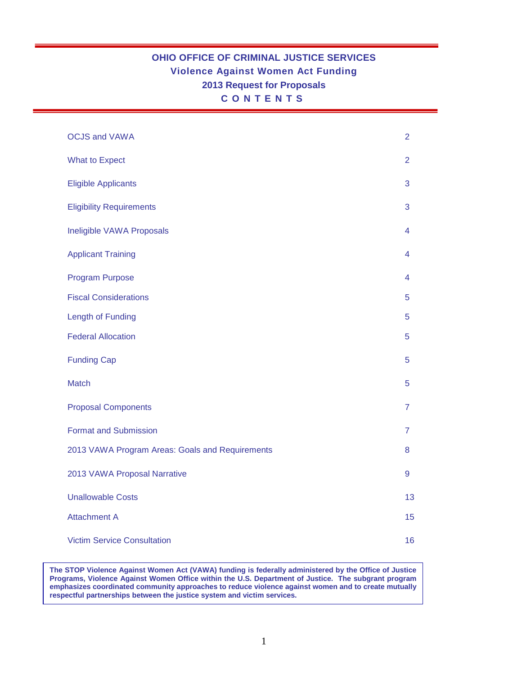# **OHIO OFFICE OF CRIMINAL JUSTICE SERVICES Violence Against Women Act Funding 2013 Request for Proposals CONTENTS**

| <b>OCJS and VAWA</b>                            | $\overline{2}$ |
|-------------------------------------------------|----------------|
| <b>What to Expect</b>                           | $\overline{2}$ |
| <b>Eligible Applicants</b>                      | 3              |
| <b>Eligibility Requirements</b>                 | 3              |
| Ineligible VAWA Proposals                       | 4              |
| <b>Applicant Training</b>                       | 4              |
| <b>Program Purpose</b>                          | 4              |
| <b>Fiscal Considerations</b>                    | 5              |
| <b>Length of Funding</b>                        | 5              |
| <b>Federal Allocation</b>                       | 5              |
| <b>Funding Cap</b>                              | 5              |
| <b>Match</b>                                    | 5              |
| <b>Proposal Components</b>                      | $\overline{7}$ |
| <b>Format and Submission</b>                    | $\overline{7}$ |
| 2013 VAWA Program Areas: Goals and Requirements | 8              |
| 2013 VAWA Proposal Narrative                    | 9              |
| <b>Unallowable Costs</b>                        | 13             |
| <b>Attachment A</b>                             | 15             |
| <b>Victim Service Consultation</b>              | 16             |

**The STOP Violence Against Women Act (VAWA) funding is federally administered by the Office of Justice Programs, Violence Against Women Office within the U.S. Department of Justice. The subgrant program emphasizes coordinated community approaches to reduce violence against women and to create mutually respectful partnerships between the justice system and victim services.**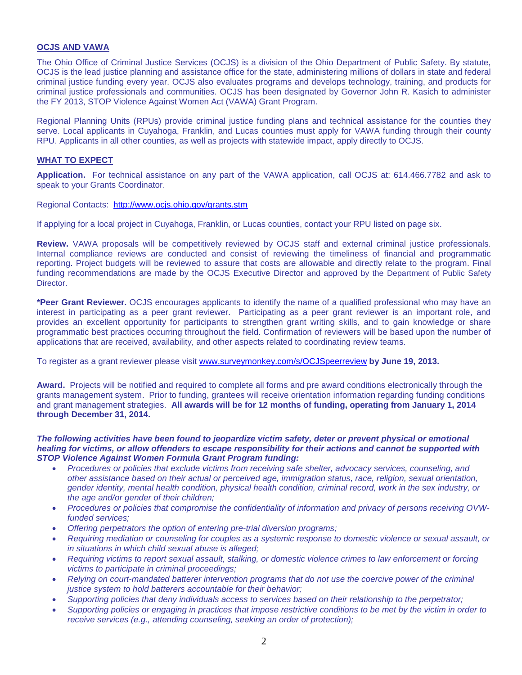## **OCJS AND VAWA**

The Ohio Office of Criminal Justice Services (OCJS) is a division of the Ohio Department of Public Safety. By statute, OCJS is the lead justice planning and assistance office for the state, administering millions of dollars in state and federal criminal justice funding every year. OCJS also evaluates programs and develops technology, training, and products for criminal justice professionals and communities. OCJS has been designated by Governor John R. Kasich to administer the FY 2013, STOP Violence Against Women Act (VAWA) Grant Program.

Regional Planning Units (RPUs) provide criminal justice funding plans and technical assistance for the counties they serve. Local applicants in Cuyahoga, Franklin, and Lucas counties must apply for VAWA funding through their county RPU. Applicants in all other counties, as well as projects with statewide impact, apply directly to OCJS.

## **WHAT TO EXPECT**

**Application.** For technical assistance on any part of the VAWA application, call OCJS at: 614.466.7782 and ask to speak to your Grants Coordinator.

Regional Contacts: <http://www.ocjs.ohio.gov/grants.stm>

If applying for a local project in Cuyahoga, Franklin, or Lucas counties, contact your RPU listed on page six.

**Review.** VAWA proposals will be competitively reviewed by OCJS staff and external criminal justice professionals. Internal compliance reviews are conducted and consist of reviewing the timeliness of financial and programmatic reporting. Project budgets will be reviewed to assure that costs are allowable and directly relate to the program. Final funding recommendations are made by the OCJS Executive Director and approved by the Department of Public Safety Director.

**\*Peer Grant Reviewer.** OCJS encourages applicants to identify the name of a qualified professional who may have an interest in participating as a peer grant reviewer. Participating as a peer grant reviewer is an important role, and provides an excellent opportunity for participants to strengthen grant writing skills, and to gain knowledge or share programmatic best practices occurring throughout the field. Confirmation of reviewers will be based upon the number of applications that are received, availability, and other aspects related to coordinating review teams.

To register as a grant reviewer please visit [www.surveymonkey.com/s/OCJSpeerreview](http://www.surveymonkey.com/s/OCJSpeerreview) **by June 19, 2013.**

**Award.** Projects will be notified and required to complete all forms and pre award conditions electronically through the grants management system. Prior to funding, grantees will receive orientation information regarding funding conditions and grant management strategies. **All awards will be for 12 months of funding, operating from January 1, 2014 through December 31, 2014.**

*The following activities have been found to jeopardize victim safety, deter or prevent physical or emotional healing for victims, or allow offenders to escape responsibility for their actions and cannot be supported with STOP Violence Against Women Formula Grant Program funding:* 

- *Procedures or policies that exclude victims from receiving safe shelter, advocacy services, counseling, and other assistance based on their actual or perceived age, immigration status, race, religion, sexual orientation, gender identity, mental health condition, physical health condition, criminal record, work in the sex industry, or the age and/or gender of their children;*
- *Procedures or policies that compromise the confidentiality of information and privacy of persons receiving OVWfunded services;*
- *Offering perpetrators the option of entering pre-trial diversion programs;*
- *Requiring mediation or counseling for couples as a systemic response to domestic violence or sexual assault, or in situations in which child sexual abuse is alleged;*
- *Requiring victims to report sexual assault, stalking, or domestic violence crimes to law enforcement or forcing victims to participate in criminal proceedings;*
- *Relying on court-mandated batterer intervention programs that do not use the coercive power of the criminal justice system to hold batterers accountable for their behavior;*
- *Supporting policies that deny individuals access to services based on their relationship to the perpetrator;*
- *Supporting policies or engaging in practices that impose restrictive conditions to be met by the victim in order to receive services (e.g., attending counseling, seeking an order of protection);*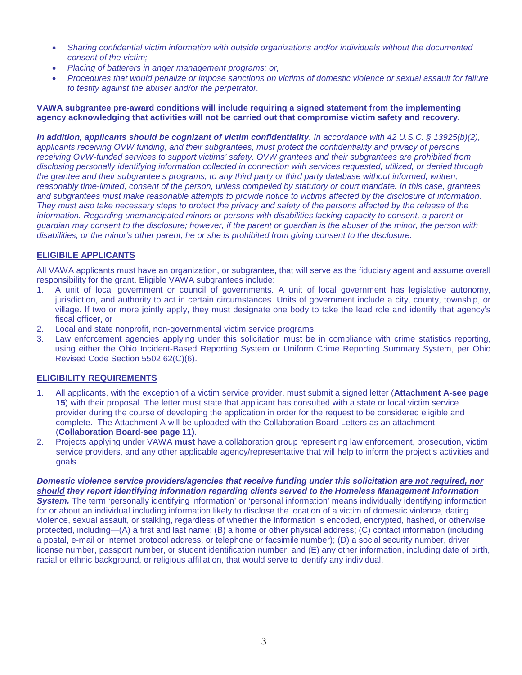- *Sharing confidential victim information with outside organizations and/or individuals without the documented consent of the victim;*
- *Placing of batterers in anger management programs; or,*
- *Procedures that would penalize or impose sanctions on victims of domestic violence or sexual assault for failure to testify against the abuser and/or the perpetrator.*

## **VAWA subgrantee pre-award conditions will include requiring a signed statement from the implementing agency acknowledging that activities will not be carried out that compromise victim safety and recovery.**

*In addition, applicants should be cognizant of victim confidentiality. In accordance with 42 U.S.C. § 13925(b)(2), applicants receiving OVW funding, and their subgrantees, must protect the confidentiality and privacy of persons receiving OVW-funded services to support victims' safety. OVW grantees and their subgrantees are prohibited from disclosing personally identifying information collected in connection with services requested, utilized, or denied through the grantee and their subgrantee's programs, to any third party or third party database without informed, written, reasonably time-limited, consent of the person, unless compelled by statutory or court mandate. In this case, grantees and subgrantees must make reasonable attempts to provide notice to victims affected by the disclosure of information. They must also take necessary steps to protect the privacy and safety of the persons affected by the release of the information. Regarding unemancipated minors or persons with disabilities lacking capacity to consent, a parent or guardian may consent to the disclosure; however, if the parent or guardian is the abuser of the minor, the person with disabilities, or the minor's other parent, he or she is prohibited from giving consent to the disclosure.*

## **ELIGIBILE APPLICANTS**

All VAWA applicants must have an organization, or subgrantee, that will serve as the fiduciary agent and assume overall responsibility for the grant. Eligible VAWA subgrantees include:

- 1. A unit of local government or council of governments. A unit of local government has legislative autonomy, jurisdiction, and authority to act in certain circumstances. Units of government include a city, county, township, or village. If two or more jointly apply, they must designate one body to take the lead role and identify that agency's fiscal officer, or
- 2. Local and state nonprofit, non-governmental victim service programs.
- 3. Law enforcement agencies applying under this solicitation must be in compliance with crime statistics reporting, using either the Ohio Incident-Based Reporting System or Uniform Crime Reporting Summary System, per Ohio Revised Code Section 5502.62(C)(6).

## **ELIGIBILITY REQUIREMENTS**

- 1. All applicants, with the exception of a victim service provider, must submit a signed letter (**Attachment A-see page 15**) with their proposal. The letter must state that applicant has consulted with a state or local victim service provider during the course of developing the application in order for the request to be considered eligible and complete. The Attachment A will be uploaded with the Collaboration Board Letters as an attachment. (**Collaboration Board**-**see page 11)**.
- 2. Projects applying under VAWA **must** have a collaboration group representing law enforcement, prosecution, victim service providers, and any other applicable agency/representative that will help to inform the project's activities and goals.

*Domestic violence service providers/agencies that receive funding under this solicitation are not required, nor should they report identifying information regarding clients served to the Homeless Management Information System.* The term 'personally identifying information' or 'personal information' means individually identifying information for or about an individual including information likely to disclose the location of a victim of domestic violence, dating violence, sexual assault, or stalking, regardless of whether the information is encoded, encrypted, hashed, or otherwise protected, including—(A) a first and last name; (B) a home or other physical address; (C) contact information (including a postal, e-mail or Internet protocol address, or telephone or facsimile number); (D) a social security number, driver license number, passport number, or student identification number; and (E) any other information, including date of birth, racial or ethnic background, or religious affiliation, that would serve to identify any individual.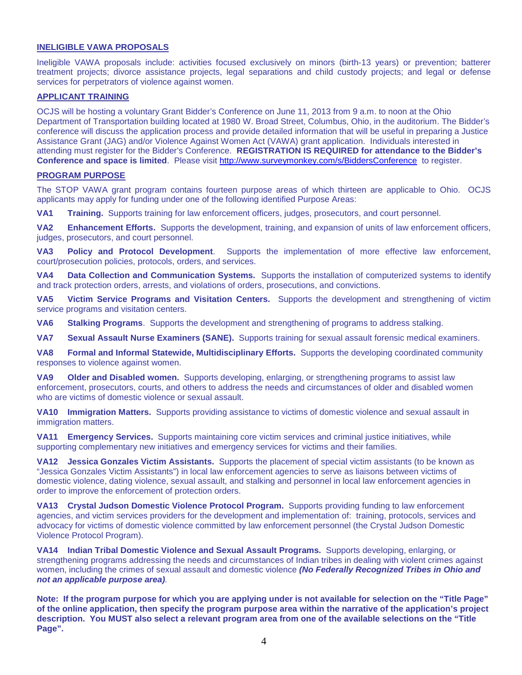## **INELIGIBLE VAWA PROPOSALS**

Ineligible VAWA proposals include: activities focused exclusively on minors (birth-13 years) or prevention; batterer treatment projects; divorce assistance projects, legal separations and child custody projects; and legal or defense services for perpetrators of violence against women.

## **APPLICANT TRAINING**

OCJS will be hosting a voluntary Grant Bidder's Conference on June 11, 2013 from 9 a.m. to noon at the Ohio Department of Transportation building located at 1980 W. Broad Street, Columbus, Ohio, in the auditorium. The Bidder's conference will discuss the application process and provide detailed information that will be useful in preparing a Justice Assistance Grant (JAG) and/or Violence Against Women Act (VAWA) grant application. Individuals interested in attending must register for the Bidder's Conference. **REGISTRATION IS REQUIRED for attendance to the Bidder's Conference and space is limited**. Please visit <http://www.surveymonkey.com/s/BiddersConference> to register.

#### **PROGRAM PURPOSE**

The STOP VAWA grant program contains fourteen purpose areas of which thirteen are applicable to Ohio. OCJS applicants may apply for funding under one of the following identified Purpose Areas:

**VA1 Training.** Supports training for law enforcement officers, judges, prosecutors, and court personnel.

**VA2 Enhancement Efforts.** Supports the development, training, and expansion of units of law enforcement officers, judges, prosecutors, and court personnel.

**VA3 Policy and Protocol Development**.Supports the implementation of more effective law enforcement, court/prosecution policies, protocols, orders, and services.

**VA4 Data Collection and Communication Systems.** Supports the installation of computerized systems to identify and track protection orders, arrests, and violations of orders, prosecutions, and convictions.

**VA5 Victim Service Programs and Visitation Centers.** Supports the development and strengthening of victim service programs and visitation centers.

**VA6 Stalking Programs**.Supports the development and strengthening of programs to address stalking.

**VA7 Sexual Assault Nurse Examiners (SANE).** Supports training for sexual assault forensic medical examiners.

**VA8 Formal and Informal Statewide, Multidisciplinary Efforts.** Supports the developing coordinated community responses to violence against women.

**VA9 Older and Disabled women.** Supports developing, enlarging, or strengthening programs to assist law enforcement, prosecutors, courts, and others to address the needs and circumstances of older and disabled women who are victims of domestic violence or sexual assault.

**VA10 Immigration Matters.** Supports providing assistance to victims of domestic violence and sexual assault in immigration matters.

**VA11 Emergency Services.** Supports maintaining core victim services and criminal justice initiatives, while supporting complementary new initiatives and emergency services for victims and their families.

**VA12 Jessica Gonzales Victim Assistants.** Supports the placement of special victim assistants (to be known as "Jessica Gonzales Victim Assistants") in local law enforcement agencies to serve as liaisons between victims of domestic violence, dating violence, sexual assault, and stalking and personnel in local law enforcement agencies in order to improve the enforcement of protection orders.

**VA13 Crystal Judson Domestic Violence Protocol Program.** Supports providing funding to law enforcement agencies, and victim services providers for the development and implementation of: training, protocols, services and advocacy for victims of domestic violence committed by law enforcement personnel (the Crystal Judson Domestic Violence Protocol Program).

**VA14 Indian Tribal Domestic Violence and Sexual Assault Programs.** Supports developing, enlarging, or strengthening programs addressing the needs and circumstances of Indian tribes in dealing with violent crimes against women, including the crimes of sexual assault and domestic violence *(No Federally Recognized Tribes in Ohio and not an applicable purpose area).* 

**Note: If the program purpose for which you are applying under is not available for selection on the "Title Page" of the online application, then specify the program purpose area within the narrative of the application's project description. You MUST also select a relevant program area from one of the available selections on the "Title Page".**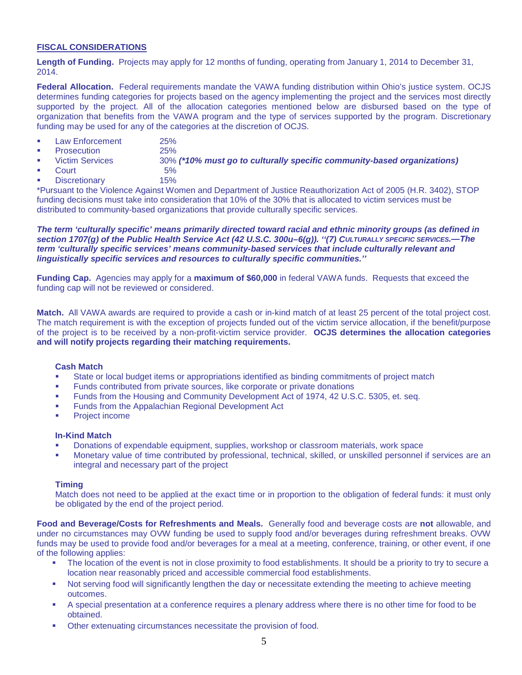## **FISCAL CONSIDERATIONS**

**Length of Funding.** Projects may apply for 12 months of funding, operating from January 1, 2014 to December 31, 2014.

**Federal Allocation.** Federal requirements mandate the VAWA funding distribution within Ohio's justice system. OCJS determines funding categories for projects based on the agency implementing the project and the services most directly supported by the project. All of the allocation categories mentioned below are disbursed based on the type of organization that benefits from the VAWA program and the type of services supported by the program. Discretionary funding may be used for any of the categories at the discretion of OCJS.

- **Law Enforcement** 25%
- Prosecution 25%
- Victim Services 30% *(\*10% must go to culturally specific community-based organizations)*
- Court 5% Discretionary 15%
- \*Pursuant to the Violence Against Women and Department of Justice Reauthorization Act of 2005 (H.R. 3402), STOP funding decisions must take into consideration that 10% of the 30% that is allocated to victim services must be

distributed to community-based organizations that provide culturally specific services.

*The term 'culturally specific' means primarily directed toward racial and ethnic minority groups (as defined in section 1707(g) of the Public Health Service Act (42 U.S.C. 300u–6(g)). ''(7) CULTURALLY SPECIFIC SERVICES.—The term 'culturally specific services' means community-based services that include culturally relevant and linguistically specific services and resources to culturally specific communities.''*

**Funding Cap.** Agencies may apply for a **maximum of \$60,000** in federal VAWA funds. Requests that exceed the funding cap will not be reviewed or considered.

**Match.** All VAWA awards are required to provide a cash or in-kind match of at least 25 percent of the total project cost. The match requirement is with the exception of projects funded out of the victim service allocation, if the benefit/purpose of the project is to be received by a non-profit-victim service provider. **OCJS determines the allocation categories and will notify projects regarding their matching requirements.**

## **Cash Match**

- State or local budget items or appropriations identified as binding commitments of project match
- **Funds contributed from private sources, like corporate or private donations**
- Funds from the Housing and Community Development Act of 1974, 42 U.S.C. 5305, et. seq.
- **Funds from the Appalachian Regional Development Act**
- **Project income**

## **In-Kind Match**

- Donations of expendable equipment, supplies, workshop or classroom materials, work space
- Monetary value of time contributed by professional, technical, skilled, or unskilled personnel if services are an integral and necessary part of the project

## **Timing**

Match does not need to be applied at the exact time or in proportion to the obligation of federal funds: it must only be obligated by the end of the project period.

**Food and Beverage/Costs for Refreshments and Meals.** Generally food and beverage costs are **not** allowable, and under no circumstances may OVW funding be used to supply food and/or beverages during refreshment breaks. OVW funds may be used to provide food and/or beverages for a meal at a meeting, conference, training, or other event, if one of the following applies:

- The location of the event is not in close proximity to food establishments. It should be a priority to try to secure a location near reasonably priced and accessible commercial food establishments.
- Not serving food will significantly lengthen the day or necessitate extending the meeting to achieve meeting outcomes.
- A special presentation at a conference requires a plenary address where there is no other time for food to be obtained.
- Other extenuating circumstances necessitate the provision of food.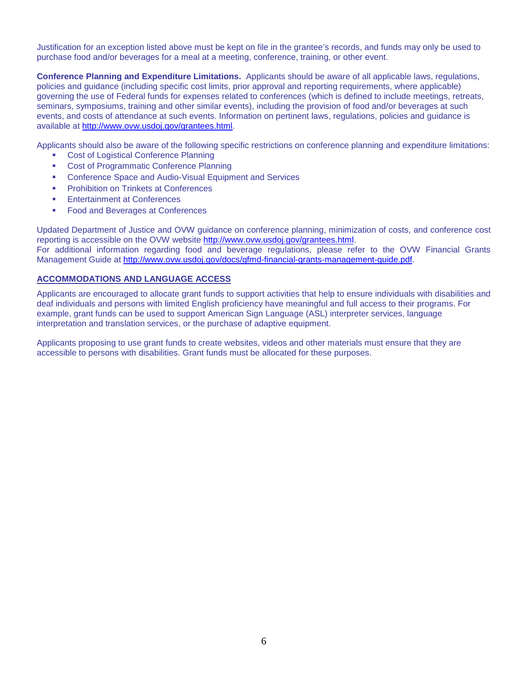Justification for an exception listed above must be kept on file in the grantee's records, and funds may only be used to purchase food and/or beverages for a meal at a meeting, conference, training, or other event.

**Conference Planning and Expenditure Limitations.** Applicants should be aware of all applicable laws, regulations, policies and guidance (including specific cost limits, prior approval and reporting requirements, where applicable) governing the use of Federal funds for expenses related to conferences (which is defined to include meetings, retreats, seminars, symposiums, training and other similar events), including the provision of food and/or beverages at such events, and costs of attendance at such events. Information on pertinent laws, regulations, policies and guidance is available at [http://www.ovw.usdoj.gov/grantees.html.](http://www.ovw.usdoj.gov/grantees.html)

Applicants should also be aware of the following specific restrictions on conference planning and expenditure limitations:

- Cost of Logistical Conference Planning
- **Cost of Programmatic Conference Planning**
- **EXECONFERENCE SPACE and Audio-Visual Equipment and Services**
- **Prohibition on Trinkets at Conferences**
- **Entertainment at Conferences**
- **Food and Beverages at Conferences**

Updated Department of Justice and OVW guidance on conference planning, minimization of costs, and conference cost reporting is accessible on the OVW website [http://www.ovw.usdoj.gov/grantees.html.](http://www.ovw.usdoj.gov/grantees.html) For additional information regarding food and beverage regulations, please refer to the OVW Financial Grants Management Guide at [http://www.ovw.usdoj.gov/docs/gfmd-financial-grants-management-guide.pdf.](http://www.ovw.usdoj.gov/docs/gfmd-financial-grants-management-guide.pdf)

## **ACCOMMODATIONS AND LANGUAGE ACCESS**

Applicants are encouraged to allocate grant funds to support activities that help to ensure individuals with disabilities and deaf individuals and persons with limited English proficiency have meaningful and full access to their programs. For example, grant funds can be used to support American Sign Language (ASL) interpreter services, language interpretation and translation services, or the purchase of adaptive equipment.

Applicants proposing to use grant funds to create websites, videos and other materials must ensure that they are accessible to persons with disabilities. Grant funds must be allocated for these purposes.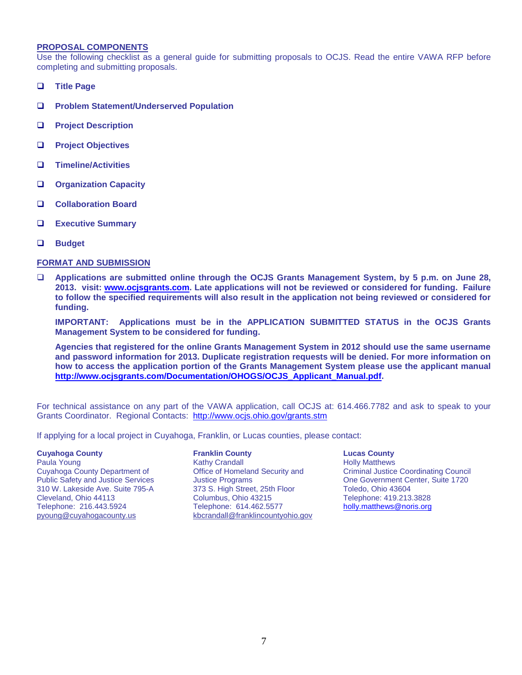#### **PROPOSAL COMPONENTS**

Use the following checklist as a general guide for submitting proposals to OCJS. Read the entire VAWA RFP before completing and submitting proposals.

- **Title Page**
- **Problem Statement/Underserved Population**
- **Project Description**
- **Project Objectives**
- **Timeline/Activities**
- **Organization Capacity**
- **Collaboration Board**
- **Executive Summary**
- **Budget**

#### **FORMAT AND SUBMISSION**

 **Applications are submitted online through the OCJS Grants Management System, by 5 p.m. on June 28, 2013. visit: [www.ocjsgrants.com.](http://www.ocjsgrants.com/) Late applications will not be reviewed or considered for funding. Failure to follow the specified requirements will also result in the application not being reviewed or considered for funding.**

**IMPORTANT: Applications must be in the APPLICATION SUBMITTED STATUS in the OCJS Grants Management System to be considered for funding.**

**Agencies that registered for the online Grants Management System in 2012 should use the same username and password information for 2013. Duplicate registration requests will be denied. For more information on how to access the application portion of the Grants Management System please use the applicant manual [http://www.ocjsgrants.com/Documentation/OHOGS/OCJS\\_Applicant\\_Manual.pdf.](http://www.ocjsgrants.com/Documentation/OHOGS/OCJS_Applicant_Manual.pdf)**

For technical assistance on any part of the VAWA application, call OCJS at: 614.466.7782 and ask to speak to your Grants Coordinator. Regional Contacts: <http://www.ocjs.ohio.gov/grants.stm>

If applying for a local project in Cuyahoga, Franklin, or Lucas counties, please contact:

#### **Cuyahoga County**

Paula Young **Ioe Spitler Spitler Spitler Spitler** Kathy Crandall Cuyahoga County Department of Public Safety and Justice Services 310 W. Lakeside Ave. Suite 795-A Cleveland, Ohio 44113 Telephone: 216.443.5924 [pyoung@cuyahogacounty.us](mailto:mnewman@cuyahogacounty.us)

#### **Franklin County**

Office of Homeland Security and Justice Programs 373 S. High Street, 25th Floor Columbus, Ohio 43215 Telephone: 614.462.5577 [kbcrandall@franklincountyohio.gov](mailto:kbcrandall@franklincountyohio.gov)

#### **Lucas County**

Holly Matthews Criminal Justice Coordinating Council One Government Center, Suite 1720 Toledo, Ohio 43604 Telephone: 419.213.3828 [holly.matthews@noris.org](mailto:holly.matthews@noris.org)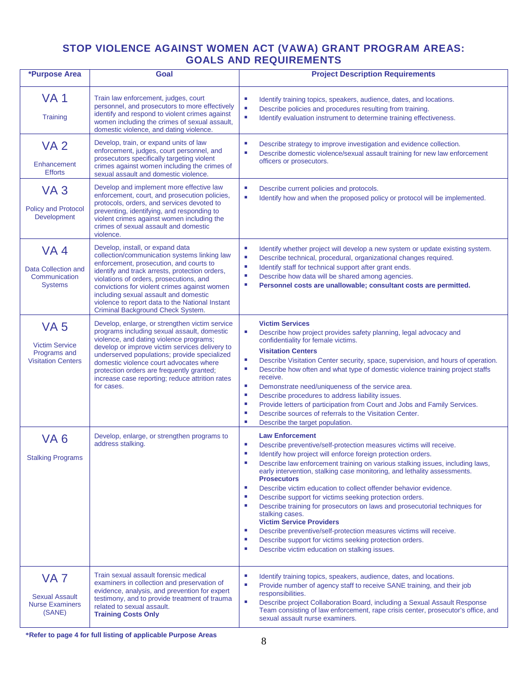# **STOP VIOLENCE AGAINST WOMEN ACT (VAWA) GRANT PROGRAM AREAS: GOALS AND REQUIREMENTS**

| *Purpose Area                                                                     | Goal                                                                                                                                                                                                                                                                                                                                                                                                      | <b>Project Description Requirements</b>                                                                                                                                                                                                                                                                                                                                                                                                                                                                                                                                                                                                                                                                                                                                                                                                           |  |  |
|-----------------------------------------------------------------------------------|-----------------------------------------------------------------------------------------------------------------------------------------------------------------------------------------------------------------------------------------------------------------------------------------------------------------------------------------------------------------------------------------------------------|---------------------------------------------------------------------------------------------------------------------------------------------------------------------------------------------------------------------------------------------------------------------------------------------------------------------------------------------------------------------------------------------------------------------------------------------------------------------------------------------------------------------------------------------------------------------------------------------------------------------------------------------------------------------------------------------------------------------------------------------------------------------------------------------------------------------------------------------------|--|--|
| <b>VA1</b><br>Training                                                            | Train law enforcement, judges, court<br>personnel, and prosecutors to more effectively<br>identify and respond to violent crimes against<br>women including the crimes of sexual assault,<br>domestic violence, and dating violence.                                                                                                                                                                      | L,<br>Identify training topics, speakers, audience, dates, and locations.<br>$\mathcal{L}_{\mathcal{A}}$<br>Describe policies and procedures resulting from training.<br>×<br>Identify evaluation instrument to determine training effectiveness.                                                                                                                                                                                                                                                                                                                                                                                                                                                                                                                                                                                                 |  |  |
| <b>VA2</b><br>Enhancement<br><b>Efforts</b>                                       | Develop, train, or expand units of law<br>enforcement, judges, court personnel, and<br>prosecutors specifically targeting violent<br>crimes against women including the crimes of<br>sexual assault and domestic violence.                                                                                                                                                                                | ×<br>Describe strategy to improve investigation and evidence collection.<br>×,<br>Describe domestic violence/sexual assault training for new law enforcement<br>officers or prosecutors.                                                                                                                                                                                                                                                                                                                                                                                                                                                                                                                                                                                                                                                          |  |  |
| VA <sub>3</sub><br><b>Policy and Protocol</b><br>Development                      | Develop and implement more effective law<br>enforcement, court, and prosecution policies,<br>protocols, orders, and services devoted to<br>preventing, identifying, and responding to<br>violent crimes against women including the<br>crimes of sexual assault and domestic<br>violence.                                                                                                                 | ×<br>Describe current policies and protocols.<br>$\overline{\phantom{a}}$<br>Identify how and when the proposed policy or protocol will be implemented.                                                                                                                                                                                                                                                                                                                                                                                                                                                                                                                                                                                                                                                                                           |  |  |
| VA <sub>4</sub><br>Data Collection and<br>Communication<br><b>Systems</b>         | Develop, install, or expand data<br>collection/communication systems linking law<br>enforcement, prosecution, and courts to<br>identify and track arrests, protection orders,<br>violations of orders, prosecutions, and<br>convictions for violent crimes against women<br>including sexual assault and domestic<br>violence to report data to the National Instant<br>Criminal Background Check System. | ×<br>Identify whether project will develop a new system or update existing system.<br>$\overline{\phantom{a}}$<br>Describe technical, procedural, organizational changes required.<br>Identify staff for technical support after grant ends.<br>×<br>п<br>Describe how data will be shared among agencies.<br>×<br>Personnel costs are unallowable; consultant costs are permitted.                                                                                                                                                                                                                                                                                                                                                                                                                                                               |  |  |
| <b>VA 5</b><br><b>Victim Service</b><br>Programs and<br><b>Visitation Centers</b> | Develop, enlarge, or strengthen victim service<br>programs including sexual assault, domestic<br>violence, and dating violence programs;<br>develop or improve victim services delivery to<br>underserved populations; provide specialized<br>domestic violence court advocates where<br>protection orders are frequently granted;<br>increase case reporting; reduce attrition rates<br>for cases.       | <b>Victim Services</b><br>$\overline{\phantom{a}}$<br>Describe how project provides safety planning, legal advocacy and<br>confidentiality for female victims.<br><b>Visitation Centers</b><br>$\overline{\phantom{a}}$<br>Describe Visitation Center security, space, supervision, and hours of operation.<br>Describe how often and what type of domestic violence training project staffs<br>×<br>receive.<br>$\overline{\phantom{a}}$<br>Demonstrate need/uniqueness of the service area.<br>×<br>Describe procedures to address liability issues.<br>Provide letters of participation from Court and Jobs and Family Services.<br>×<br>Describe sources of referrals to the Visitation Center.<br>п<br>×<br>Describe the target population.                                                                                                  |  |  |
| VA <sub>6</sub><br><b>Stalking Programs</b>                                       | Develop, enlarge, or strengthen programs to<br>address stalking.                                                                                                                                                                                                                                                                                                                                          | <b>Law Enforcement</b><br>×<br>Describe preventive/self-protection measures victims will receive.<br>×<br>Identify how project will enforce foreign protection orders.<br>×<br>Describe law enforcement training on various stalking issues, including laws,<br>early intervention, stalking case monitoring, and lethality assessments.<br><b>Prosecutors</b><br>Describe victim education to collect offender behavior evidence.<br>×<br>Describe support for victims seeking protection orders.<br>п<br>Describe training for prosecutors on laws and prosecutorial techniques for<br>×<br>stalking cases.<br><b>Victim Service Providers</b><br>×<br>Describe preventive/self-protection measures victims will receive.<br>×<br>Describe support for victims seeking protection orders.<br>×<br>Describe victim education on stalking issues. |  |  |
| VA <sub>7</sub><br><b>Sexual Assault</b><br><b>Nurse Examiners</b><br>(SANE)      | Train sexual assault forensic medical<br>examiners in collection and preservation of<br>evidence, analysis, and prevention for expert<br>testimony, and to provide treatment of trauma<br>related to sexual assault.<br><b>Training Costs Only</b>                                                                                                                                                        | ×<br>Identify training topics, speakers, audience, dates, and locations.<br>$\overline{\phantom{a}}$<br>Provide number of agency staff to receive SANE training, and their job<br>responsibilities.<br>$\overline{\phantom{a}}$<br>Describe project Collaboration Board, including a Sexual Assault Response<br>Team consisting of law enforcement, rape crisis center, prosecutor's office, and<br>sexual assault nurse examiners.                                                                                                                                                                                                                                                                                                                                                                                                               |  |  |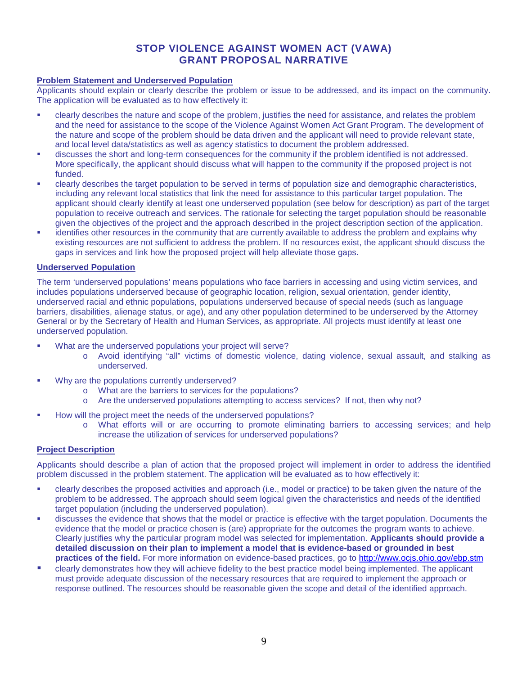## **STOP VIOLENCE AGAINST WOMEN ACT (VAWA) GRANT PROPOSAL NARRATIVE**

## **Problem Statement and Underserved Population**

Applicants should explain or clearly describe the problem or issue to be addressed, and its impact on the community. The application will be evaluated as to how effectively it:

- clearly describes the nature and scope of the problem, justifies the need for assistance, and relates the problem and the need for assistance to the scope of the Violence Against Women Act Grant Program. The development of the nature and scope of the problem should be data driven and the applicant will need to provide relevant state, and local level data/statistics as well as agency statistics to document the problem addressed.
- discusses the short and long-term consequences for the community if the problem identified is not addressed. More specifically, the applicant should discuss what will happen to the community if the proposed project is not funded.
- clearly describes the target population to be served in terms of population size and demographic characteristics, including any relevant local statistics that link the need for assistance to this particular target population. The applicant should clearly identify at least one underserved population (see below for description) as part of the target population to receive outreach and services. The rationale for selecting the target population should be reasonable given the objectives of the project and the approach described in the project description section of the application.
- identifies other resources in the community that are currently available to address the problem and explains why existing resources are not sufficient to address the problem. If no resources exist, the applicant should discuss the gaps in services and link how the proposed project will help alleviate those gaps.

## **Underserved Population**

The term 'underserved populations' means populations who face barriers in accessing and using victim services, and includes populations underserved because of geographic location, religion, sexual orientation, gender identity, underserved racial and ethnic populations, populations underserved because of special needs (such as language barriers, disabilities, alienage status, or age), and any other population determined to be underserved by the Attorney General or by the Secretary of Health and Human Services, as appropriate. All projects must identify at least one underserved population.

- What are the underserved populations your project will serve?
	- o Avoid identifying "all" victims of domestic violence, dating violence, sexual assault, and stalking as underserved.
- Why are the populations currently underserved?
	- o What are the barriers to services for the populations?
	- o Are the underserved populations attempting to access services? If not, then why not?
- How will the project meet the needs of the underserved populations?
	- o What efforts will or are occurring to promote eliminating barriers to accessing services; and help increase the utilization of services for underserved populations?

## **Project Description**

Applicants should describe a plan of action that the proposed project will implement in order to address the identified problem discussed in the problem statement. The application will be evaluated as to how effectively it:

- clearly describes the proposed activities and approach (i.e., model or practice) to be taken given the nature of the problem to be addressed. The approach should seem logical given the characteristics and needs of the identified target population (including the underserved population).
- discusses the evidence that shows that the model or practice is effective with the target population. Documents the evidence that the model or practice chosen is (are) appropriate for the outcomes the program wants to achieve. Clearly justifies why the particular program model was selected for implementation. **Applicants should provide a detailed discussion on their plan to implement a model that is evidence-based or grounded in best practices of the field.** For more information on evidence-based practices, go to<http://www.ocjs.ohio.gov/ebp.stm>
- clearly demonstrates how they will achieve fidelity to the best practice model being implemented. The applicant must provide adequate discussion of the necessary resources that are required to implement the approach or response outlined. The resources should be reasonable given the scope and detail of the identified approach.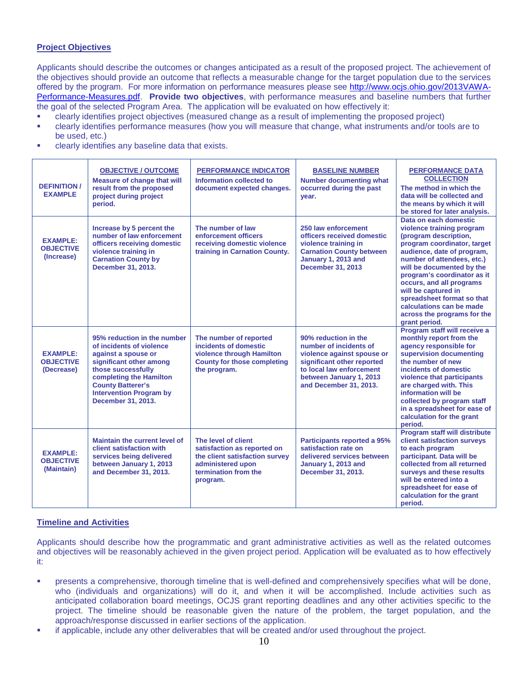## **Project Objectives**

Applicants should describe the outcomes or changes anticipated as a result of the proposed project. The achievement of the objectives should provide an outcome that reflects a measurable change for the target population due to the services offered by the program. For more information on performance measures please see [http://www.ocjs.ohio.gov/2013VAWA-](http://www.ocjs.ohio.gov/2013VAWA-Performance-Measures.pdf)[Performance-Measures.pdf.](http://www.ocjs.ohio.gov/2013VAWA-Performance-Measures.pdf) **Provide two objectives**, with performance measures and baseline numbers that further the goal of the selected Program Area. The application will be evaluated on how effectively it:

clearly identifies project objectives (measured change as a result of implementing the proposed project)

- clearly identifies performance measures (how you will measure that change, what instruments and/or tools are to be used, etc.)
- clearly identifies any baseline data that exists.

| <b>DEFINITION /</b><br><b>EXAMPLE</b>             | <b>OBJECTIVE / OUTCOME</b><br><b>Measure of change that will</b><br>result from the proposed<br>project during project<br>period.                                                                                                              | <b>PERFORMANCE INDICATOR</b><br>Information collected to<br>document expected changes.                                                        | <b>BASELINE NUMBER</b><br><b>Number documenting what</b><br>occurred during the past<br>year.                                                                                               | <b>PERFORMANCE DATA</b><br><b>COLLECTION</b><br>The method in which the<br>data will be collected and<br>the means by which it will<br>be stored for later analysis.                                                                                                                                                                                                                            |
|---------------------------------------------------|------------------------------------------------------------------------------------------------------------------------------------------------------------------------------------------------------------------------------------------------|-----------------------------------------------------------------------------------------------------------------------------------------------|---------------------------------------------------------------------------------------------------------------------------------------------------------------------------------------------|-------------------------------------------------------------------------------------------------------------------------------------------------------------------------------------------------------------------------------------------------------------------------------------------------------------------------------------------------------------------------------------------------|
| <b>EXAMPLE:</b><br><b>OBJECTIVE</b><br>(Increase) | Increase by 5 percent the<br>number of law enforcement<br>officers receiving domestic<br>violence training in<br><b>Carnation County by</b><br>December 31, 2013.                                                                              | The number of law<br>enforcement officers<br>receiving domestic violence<br>training in Carnation County.                                     | 250 law enforcement<br>officers received domestic<br>violence training in<br><b>Carnation County between</b><br>January 1, 2013 and<br><b>December 31, 2013</b>                             | Data on each domestic<br>violence training program<br>(program description,<br>program coordinator, target<br>audience, date of program,<br>number of attendees, etc.)<br>will be documented by the<br>program's coordinator as it<br>occurs, and all programs<br>will be captured in<br>spreadsheet format so that<br>calculations can be made<br>across the programs for the<br>grant period. |
| <b>EXAMPLE:</b><br><b>OBJECTIVE</b><br>(Decrease) | 95% reduction in the number<br>of incidents of violence<br>against a spouse or<br>significant other among<br>those successfully<br>completing the Hamilton<br><b>County Batterer's</b><br><b>Intervention Program by</b><br>December 31, 2013. | The number of reported<br>incidents of domestic<br>violence through Hamilton<br><b>County for those completing</b><br>the program.            | 90% reduction in the<br>number of incidents of<br>violence against spouse or<br>significant other reported<br>to local law enforcement<br>between January 1, 2013<br>and December 31, 2013. | Program staff will receive a<br>monthly report from the<br>agency responsible for<br>supervision documenting<br>the number of new<br>incidents of domestic<br>violence that participants<br>are charged with. This<br>information will be<br>collected by program staff<br>in a spreadsheet for ease of<br>calculation for the grant<br>period.                                                 |
| <b>EXAMPLE:</b><br><b>OBJECTIVE</b><br>(Maintain) | Maintain the current level of<br>client satisfaction with<br>services being delivered<br>between January 1, 2013<br>and December 31, 2013.                                                                                                     | The level of client<br>satisfaction as reported on<br>the client satisfaction survey<br>administered upon<br>termination from the<br>program. | Participants reported a 95%<br>satisfaction rate on<br>delivered services between<br>January 1, 2013 and<br>December 31, 2013.                                                              | Program staff will distribute<br>client satisfaction surveys<br>to each program<br>participant. Data will be<br>collected from all returned<br>surveys and these results<br>will be entered into a<br>spreadsheet for ease of<br>calculation for the grant<br>period.                                                                                                                           |

## **Timeline and Activities**

Applicants should describe how the programmatic and grant administrative activities as well as the related outcomes and objectives will be reasonably achieved in the given project period. Application will be evaluated as to how effectively it:

- **•** presents a comprehensive, thorough timeline that is well-defined and comprehensively specifies what will be done, who (individuals and organizations) will do it, and when it will be accomplished. Include activities such as anticipated collaboration board meetings, OCJS grant reporting deadlines and any other activities specific to the project. The timeline should be reasonable given the nature of the problem, the target population, and the approach/response discussed in earlier sections of the application.
- if applicable, include any other deliverables that will be created and/or used throughout the project.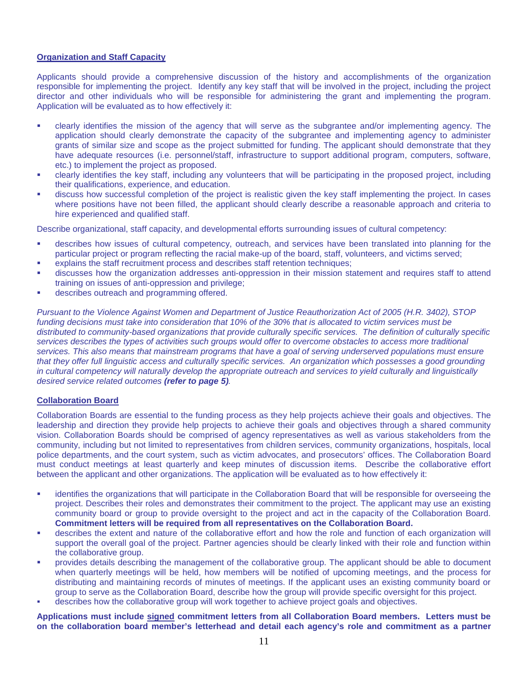## **Organization and Staff Capacity**

Applicants should provide a comprehensive discussion of the history and accomplishments of the organization responsible for implementing the project. Identify any key staff that will be involved in the project, including the project director and other individuals who will be responsible for administering the grant and implementing the program. Application will be evaluated as to how effectively it:

- clearly identifies the mission of the agency that will serve as the subgrantee and/or implementing agency. The application should clearly demonstrate the capacity of the subgrantee and implementing agency to administer grants of similar size and scope as the project submitted for funding. The applicant should demonstrate that they have adequate resources (i.e. personnel/staff, infrastructure to support additional program, computers, software, etc.) to implement the project as proposed.
- clearly identifies the key staff, including any volunteers that will be participating in the proposed project, including their qualifications, experience, and education.
- discuss how successful completion of the project is realistic given the key staff implementing the project. In cases where positions have not been filled, the applicant should clearly describe a reasonable approach and criteria to hire experienced and qualified staff.

Describe organizational, staff capacity, and developmental efforts surrounding issues of cultural competency:

- describes how issues of cultural competency, outreach, and services have been translated into planning for the particular project or program reflecting the racial make-up of the board, staff, volunteers, and victims served;
- explains the staff recruitment process and describes staff retention techniques;
- discusses how the organization addresses anti-oppression in their mission statement and requires staff to attend training on issues of anti-oppression and privilege;
- describes outreach and programming offered.

*Pursuant to the Violence Against Women and Department of Justice Reauthorization Act of 2005 (H.R. 3402), STOP funding decisions must take into consideration that 10% of the 30% that is allocated to victim services must be distributed to community-based organizations that provide culturally specific services. The definition of culturally specific services describes the types of activities such groups would offer to overcome obstacles to access more traditional services. This also means that mainstream programs that have a goal of serving underserved populations must ensure that they offer full linguistic access and culturally specific services. An organization which possesses a good grounding in cultural competency will naturally develop the appropriate outreach and services to yield culturally and linguistically desired service related outcomes (refer to page 5).*

## **Collaboration Board**

Collaboration Boards are essential to the funding process as they help projects achieve their goals and objectives. The leadership and direction they provide help projects to achieve their goals and objectives through a shared community vision. Collaboration Boards should be comprised of agency representatives as well as various stakeholders from the community, including but not limited to representatives from children services, community organizations, hospitals, local police departments, and the court system, such as victim advocates, and prosecutors' offices. The Collaboration Board must conduct meetings at least quarterly and keep minutes of discussion items. Describe the collaborative effort between the applicant and other organizations. The application will be evaluated as to how effectively it:

- identifies the organizations that will participate in the Collaboration Board that will be responsible for overseeing the project. Describes their roles and demonstrates their commitment to the project. The applicant may use an existing community board or group to provide oversight to the project and act in the capacity of the Collaboration Board. **Commitment letters will be required from all representatives on the Collaboration Board.**
- describes the extent and nature of the collaborative effort and how the role and function of each organization will support the overall goal of the project. Partner agencies should be clearly linked with their role and function within the collaborative group.
- provides details describing the management of the collaborative group. The applicant should be able to document when quarterly meetings will be held, how members will be notified of upcoming meetings, and the process for distributing and maintaining records of minutes of meetings. If the applicant uses an existing community board or group to serve as the Collaboration Board, describe how the group will provide specific oversight for this project.
- describes how the collaborative group will work together to achieve project goals and objectives.

**Applications must include signed commitment letters from all Collaboration Board members. Letters must be on the collaboration board member's letterhead and detail each agency's role and commitment as a partner**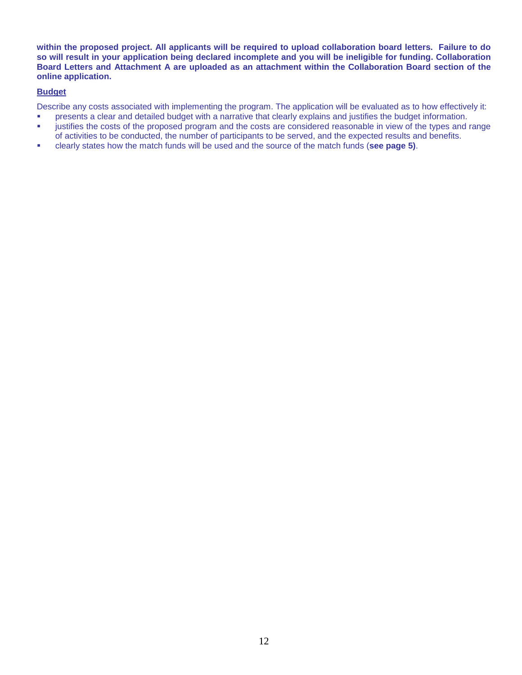**within the proposed project. All applicants will be required to upload collaboration board letters. Failure to do so will result in your application being declared incomplete and you will be ineligible for funding. Collaboration Board Letters and Attachment A are uploaded as an attachment within the Collaboration Board section of the online application.**

## **Budget**

Describe any costs associated with implementing the program. The application will be evaluated as to how effectively it:

- **•** presents a clear and detailed budget with a narrative that clearly explains and justifies the budget information.
- justifies the costs of the proposed program and the costs are considered reasonable in view of the types and range of activities to be conducted, the number of participants to be served, and the expected results and benefits.
- clearly states how the match funds will be used and the source of the match funds (**see page 5)**.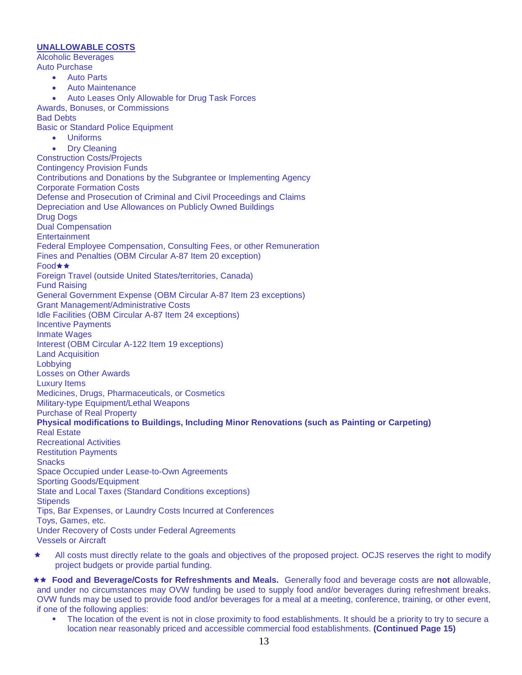## **UNALLOWABLE COSTS**

Alcoholic Beverages Auto Purchase

- Auto Parts
- Auto Maintenance
- Auto Leases Only Allowable for Drug Task Forces
- Awards, Bonuses, or Commissions

Bad Debts

- Basic or Standard Police Equipment
	- Uniforms
	- Dry Cleaning

Construction Costs/Projects

Contingency Provision Funds

Contributions and Donations by the Subgrantee or Implementing Agency Corporate Formation Costs

Defense and Prosecution of Criminal and Civil Proceedings and Claims

Depreciation and Use Allowances on Publicly Owned Buildings

Drug Dogs

Dual Compensation

**Entertainment** 

Federal Employee Compensation, Consulting Fees, or other Remuneration

Fines and Penalties (OBM Circular A-87 Item 20 exception)

Food★★

Foreign Travel (outside United States/territories, Canada)

Fund Raising

General Government Expense (OBM Circular A-87 Item 23 exceptions)

Grant Management/Administrative Costs

Idle Facilities (OBM Circular A-87 Item 24 exceptions)

Incentive Payments

Inmate Wages

Interest (OBM Circular A-122 Item 19 exceptions)

Land Acquisition

Lobbying

Losses on Other Awards

Luxury Items Medicines, Drugs, Pharmaceuticals, or Cosmetics

Military-type Equipment/Lethal Weapons

Purchase of Real Property

## **Physical modifications to Buildings, Including Minor Renovations (such as Painting or Carpeting)** Real Estate

Recreational Activities Restitution Payments

**Snacks** 

Space Occupied under Lease-to-Own Agreements

Sporting Goods/Equipment

State and Local Taxes (Standard Conditions exceptions)

**Stipends** 

Tips, Bar Expenses, or Laundry Costs Incurred at Conferences Toys, Games, etc.

Under Recovery of Costs under Federal Agreements

Vessels or Aircraft

All costs must directly relate to the goals and objectives of the proposed project. OCJS reserves the right to modify project budgets or provide partial funding.

 **Food and Beverage/Costs for Refreshments and Meals.** Generally food and beverage costs are **not** allowable, and under no circumstances may OVW funding be used to supply food and/or beverages during refreshment breaks. OVW funds may be used to provide food and/or beverages for a meal at a meeting, conference, training, or other event, if one of the following applies:

 The location of the event is not in close proximity to food establishments. It should be a priority to try to secure a location near reasonably priced and accessible commercial food establishments. **(Continued Page 15)**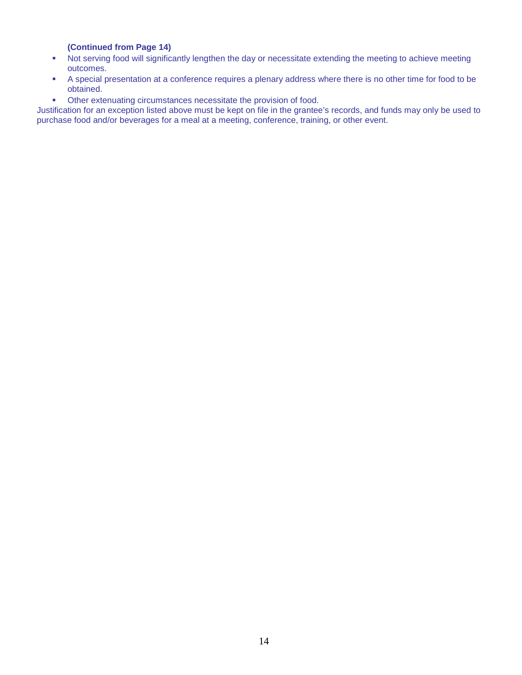## **(Continued from Page 14)**

- Not serving food will significantly lengthen the day or necessitate extending the meeting to achieve meeting outcomes.
- A special presentation at a conference requires a plenary address where there is no other time for food to be obtained.
- Other extenuating circumstances necessitate the provision of food.

Justification for an exception listed above must be kept on file in the grantee's records, and funds may only be used to purchase food and/or beverages for a meal at a meeting, conference, training, or other event.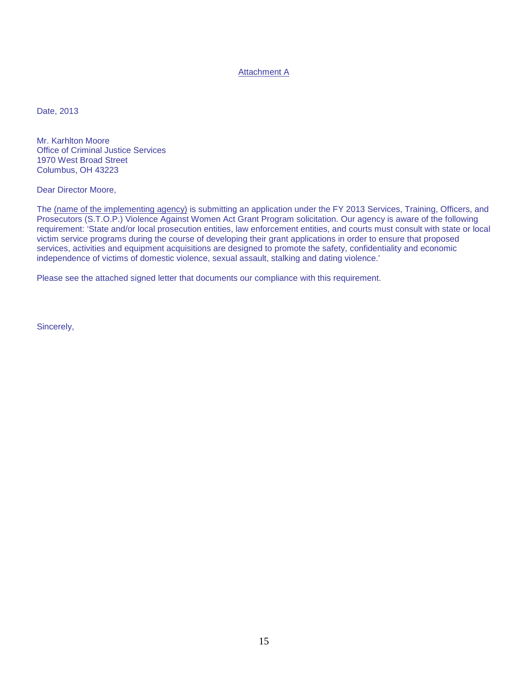## Attachment A

Date, 2013

Mr. Karhlton Moore Office of Criminal Justice Services 1970 West Broad Street Columbus, OH 43223

Dear Director Moore,

The (name of the implementing agency) is submitting an application under the FY 2013 Services, Training, Officers, and Prosecutors (S.T.O.P.) Violence Against Women Act Grant Program solicitation. Our agency is aware of the following requirement: 'State and/or local prosecution entities, law enforcement entities, and courts must consult with state or local victim service programs during the course of developing their grant applications in order to ensure that proposed services, activities and equipment acquisitions are designed to promote the safety, confidentiality and economic independence of victims of domestic violence, sexual assault, stalking and dating violence.'

Please see the attached signed letter that documents our compliance with this requirement.

Sincerely,